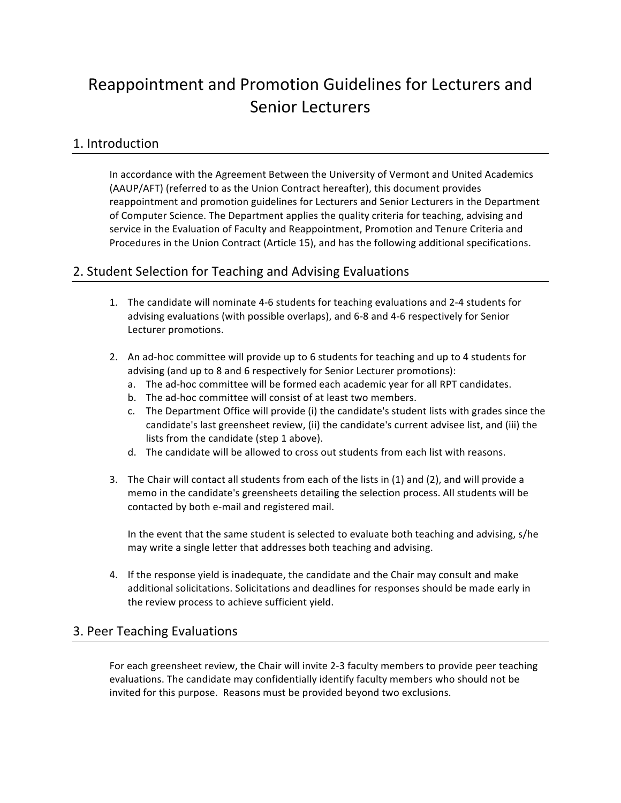# Reappointment and Promotion Guidelines for Lecturers and Senior Lecturers

## 1. Introduction

In accordance with the Agreement Between the University of Vermont and United Academics (AAUP/AFT) (referred to as the Union Contract hereafter), this document provides reappointment and promotion guidelines for Lecturers and Senior Lecturers in the Department of Computer Science. The Department applies the quality criteria for teaching, advising and service in the Evaluation of Faculty and Reappointment, Promotion and Tenure Criteria and Procedures in the Union Contract (Article 15), and has the following additional specifications.

## 2. Student Selection for Teaching and Advising Evaluations

- 1. The candidate will nominate 4-6 students for teaching evaluations and 2-4 students for advising evaluations (with possible overlaps), and 6-8 and 4-6 respectively for Senior Lecturer promotions.
- 2. An ad-hoc committee will provide up to 6 students for teaching and up to 4 students for advising (and up to 8 and 6 respectively for Senior Lecturer promotions):
	- a. The ad-hoc committee will be formed each academic year for all RPT candidates.
	- b. The ad-hoc committee will consist of at least two members.
	- c. The Department Office will provide (i) the candidate's student lists with grades since the candidate's last greensheet review, (ii) the candidate's current advisee list, and (iii) the lists from the candidate (step 1 above).
	- d. The candidate will be allowed to cross out students from each list with reasons.
- 3. The Chair will contact all students from each of the lists in (1) and (2), and will provide a memo in the candidate's greensheets detailing the selection process. All students will be contacted by both e-mail and registered mail.

In the event that the same student is selected to evaluate both teaching and advising, s/he may write a single letter that addresses both teaching and advising.

4. If the response yield is inadequate, the candidate and the Chair may consult and make additional solicitations. Solicitations and deadlines for responses should be made early in the review process to achieve sufficient yield.

## 3. Peer Teaching Evaluations

For each greensheet review, the Chair will invite 2-3 faculty members to provide peer teaching evaluations. The candidate may confidentially identify faculty members who should not be invited for this purpose. Reasons must be provided beyond two exclusions.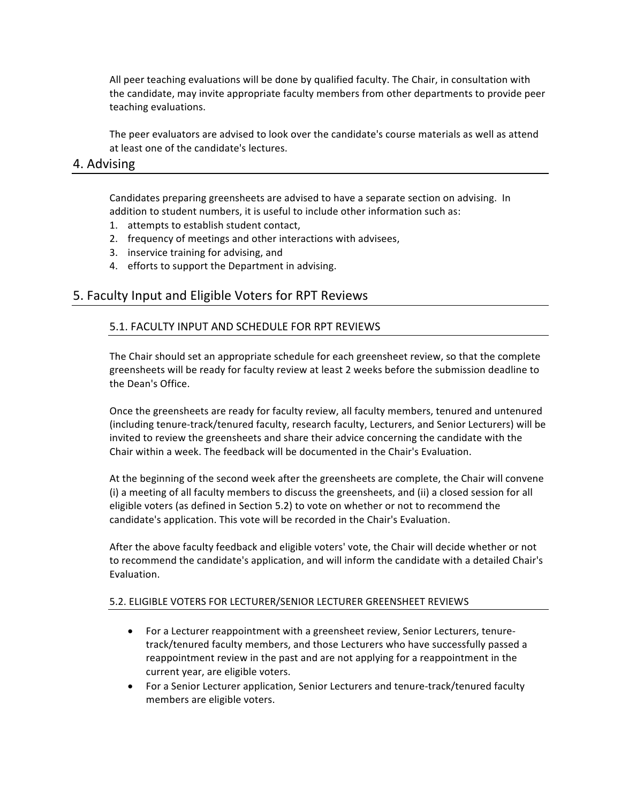All peer teaching evaluations will be done by qualified faculty. The Chair, in consultation with the candidate, may invite appropriate faculty members from other departments to provide peer teaching evaluations.

The peer evaluators are advised to look over the candidate's course materials as well as attend at least one of the candidate's lectures.

### 4. Advising

Candidates preparing greensheets are advised to have a separate section on advising. In addition to student numbers, it is useful to include other information such as:

- 1. attempts to establish student contact,
- 2. frequency of meetings and other interactions with advisees,
- 3. inservice training for advising, and
- 4. efforts to support the Department in advising.

## 5. Faculty Input and Eligible Voters for RPT Reviews

#### 5.1. FACULTY INPUT AND SCHEDULE FOR RPT REVIEWS

The Chair should set an appropriate schedule for each greensheet review, so that the complete greensheets will be ready for faculty review at least 2 weeks before the submission deadline to the Dean's Office.

Once the greensheets are ready for faculty review, all faculty members, tenured and untenured (including tenure-track/tenured faculty, research faculty, Lecturers, and Senior Lecturers) will be invited to review the greensheets and share their advice concerning the candidate with the Chair within a week. The feedback will be documented in the Chair's Fvaluation.

At the beginning of the second week after the greensheets are complete, the Chair will convene (i) a meeting of all faculty members to discuss the greensheets, and (ii) a closed session for all eligible voters (as defined in Section 5.2) to vote on whether or not to recommend the candidate's application. This vote will be recorded in the Chair's Evaluation.

After the above faculty feedback and eligible voters' vote, the Chair will decide whether or not to recommend the candidate's application, and will inform the candidate with a detailed Chair's Evaluation.

#### 5.2. ELIGIBLE VOTERS FOR LECTURER/SENIOR LECTURER GREENSHEET REVIEWS

- For a Lecturer reappointment with a greensheet review, Senior Lecturers, tenuretrack/tenured faculty members, and those Lecturers who have successfully passed a reappointment review in the past and are not applying for a reappointment in the current year, are eligible voters.
- For a Senior Lecturer application, Senior Lecturers and tenure-track/tenured faculty members are eligible voters.